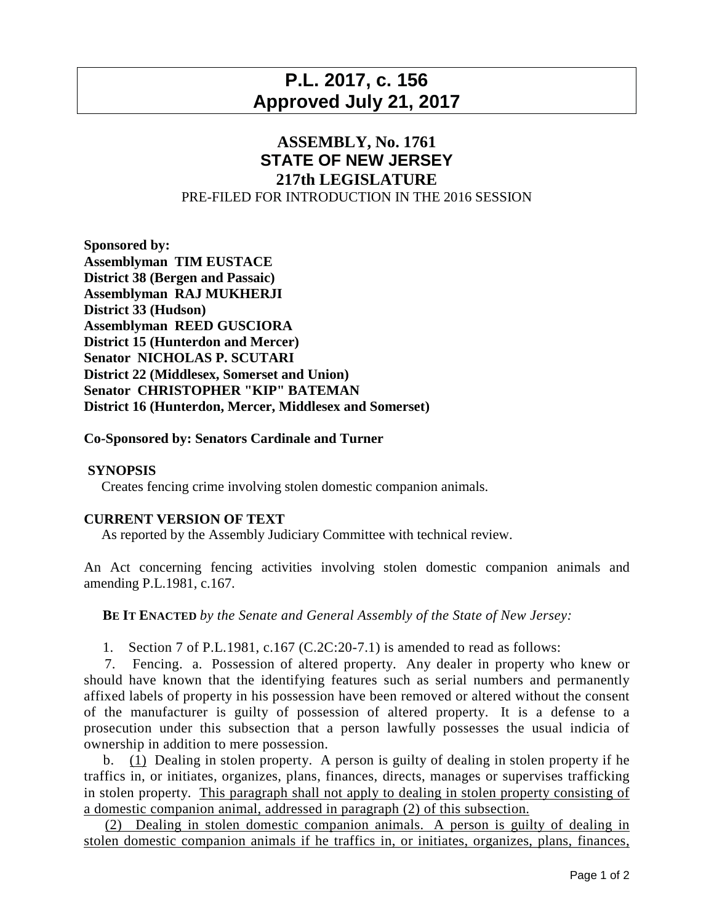# **P.L. 2017, c. 156 Approved July 21, 2017**

## **ASSEMBLY, No. 1761 STATE OF NEW JERSEY 217th LEGISLATURE** PRE-FILED FOR INTRODUCTION IN THE 2016 SESSION

**Sponsored by: Assemblyman TIM EUSTACE District 38 (Bergen and Passaic) Assemblyman RAJ MUKHERJI District 33 (Hudson) Assemblyman REED GUSCIORA District 15 (Hunterdon and Mercer) Senator NICHOLAS P. SCUTARI District 22 (Middlesex, Somerset and Union) Senator CHRISTOPHER "KIP" BATEMAN District 16 (Hunterdon, Mercer, Middlesex and Somerset)**

### **Co-Sponsored by: Senators Cardinale and Turner**

### **SYNOPSIS**

Creates fencing crime involving stolen domestic companion animals.

#### **CURRENT VERSION OF TEXT**

As reported by the Assembly Judiciary Committee with technical review.

An Act concerning fencing activities involving stolen domestic companion animals and amending P.L.1981, c.167.

**BE IT ENACTED** *by the Senate and General Assembly of the State of New Jersey:*

1. Section 7 of P.L.1981, c.167 (C.2C:20-7.1) is amended to read as follows:

7. Fencing. a. Possession of altered property. Any dealer in property who knew or should have known that the identifying features such as serial numbers and permanently affixed labels of property in his possession have been removed or altered without the consent of the manufacturer is guilty of possession of altered property. It is a defense to a prosecution under this subsection that a person lawfully possesses the usual indicia of ownership in addition to mere possession.

b. (1) Dealing in stolen property. A person is guilty of dealing in stolen property if he traffics in, or initiates, organizes, plans, finances, directs, manages or supervises trafficking in stolen property. This paragraph shall not apply to dealing in stolen property consisting of a domestic companion animal, addressed in paragraph (2) of this subsection.

(2) Dealing in stolen domestic companion animals. A person is guilty of dealing in stolen domestic companion animals if he traffics in, or initiates, organizes, plans, finances,